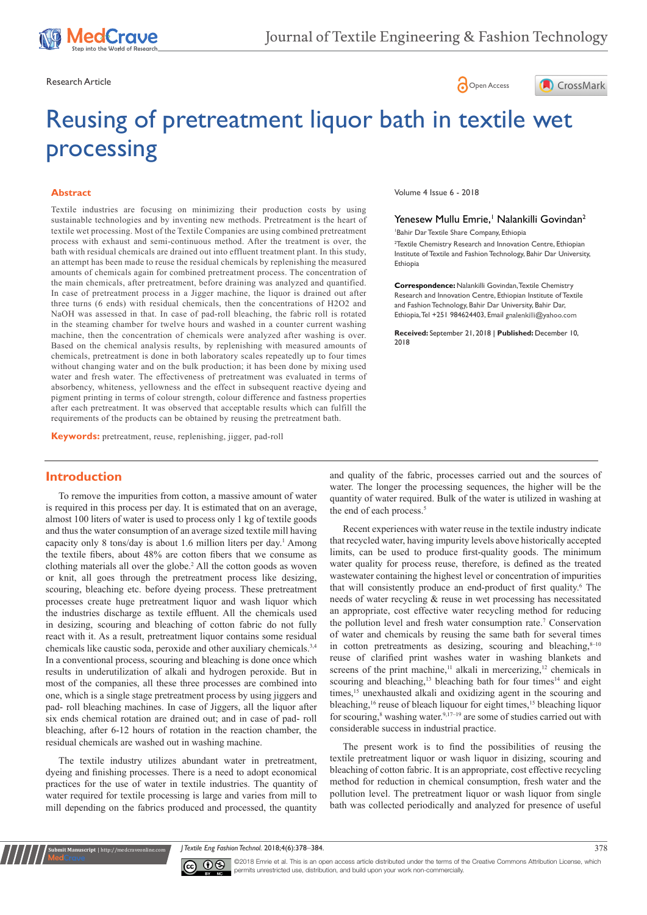





# Reusing of pretreatment liquor bath in textile wet processing

#### **Abstract**

Textile industries are focusing on minimizing their production costs by using sustainable technologies and by inventing new methods. Pretreatment is the heart of textile wet processing. Most of the Textile Companies are using combined pretreatment process with exhaust and semi-continuous method. After the treatment is over, the bath with residual chemicals are drained out into effluent treatment plant. In this study, an attempt has been made to reuse the residual chemicals by replenishing the measured amounts of chemicals again for combined pretreatment process. The concentration of the main chemicals, after pretreatment, before draining was analyzed and quantified. In case of pretreatment process in a Jigger machine, the liquor is drained out after three turns (6 ends) with residual chemicals, then the concentrations of H2O2 and NaOH was assessed in that. In case of pad-roll bleaching, the fabric roll is rotated in the steaming chamber for twelve hours and washed in a counter current washing machine, then the concentration of chemicals were analyzed after washing is over. Based on the chemical analysis results, by replenishing with measured amounts of chemicals, pretreatment is done in both laboratory scales repeatedly up to four times without changing water and on the bulk production; it has been done by mixing used water and fresh water. The effectiveness of pretreatment was evaluated in terms of absorbency, whiteness, yellowness and the effect in subsequent reactive dyeing and pigment printing in terms of colour strength, colour difference and fastness properties after each pretreatment. It was observed that acceptable results which can fulfill the requirements of the products can be obtained by reusing the pretreatment bath.

**Keywords:** pretreatment, reuse, replenishing, jigger, pad-roll

# **Introduction**

To remove the impurities from cotton, a massive amount of water is required in this process per day. It is estimated that on an average, almost 100 liters of water is used to process only 1 kg of textile goods and thus the water consumption of an average sized textile mill having capacity only 8 tons/day is about 1.6 million liters per day.<sup>1</sup> Among the textile fibers, about 48% are cotton fibers that we consume as clothing materials all over the globe.2 All the cotton goods as woven or knit, all goes through the pretreatment process like desizing, scouring, bleaching etc. before dyeing process. These pretreatment processes create huge pretreatment liquor and wash liquor which the industries discharge as textile effluent. All the chemicals used in desizing, scouring and bleaching of cotton fabric do not fully react with it. As a result, pretreatment liquor contains some residual chemicals like caustic soda, peroxide and other auxiliary chemicals.<sup>3,4</sup> In a conventional process, scouring and bleaching is done once which results in underutilization of alkali and hydrogen peroxide. But in most of the companies, all these three processes are combined into one, which is a single stage pretreatment process by using jiggers and pad- roll bleaching machines. In case of Jiggers, all the liquor after six ends chemical rotation are drained out; and in case of pad- roll bleaching, after 6-12 hours of rotation in the reaction chamber, the residual chemicals are washed out in washing machine.

The textile industry utilizes abundant water in pretreatment, dyeing and finishing processes. There is a need to adopt economical practices for the use of water in textile industries. The quantity of water required for textile processing is large and varies from mill to mill depending on the fabrics produced and processed, the quantity

**nit Manuscript** | http://medcraveonline.c

Volume 4 Issue 6 - 2018

# Yenesew Mullu Emrie,<sup>1</sup> Nalankilli Govindan<sup>2</sup>

1 Bahir Dar Textile Share Company, Ethiopia

<sup>2</sup>Textile Chemistry Research and Innovation Centre, Ethiopian Institute of Textile and Fashion Technology, Bahir Dar University, Ethiopia

**Correspondence:** Nalankilli Govindan, Textile Chemistry Research and Innovation Centre, Ethiopian Institute of Textile and Fashion Technology, Bahir Dar University, Bahir Dar, Ethiopia, Tel +251 984624403, Email gnalenkilli@yahoo.com

**Received:** September 21, 2018 | **Published:** December 10, 2018

and quality of the fabric, processes carried out and the sources of water. The longer the processing sequences, the higher will be the quantity of water required. Bulk of the water is utilized in washing at the end of each process.<sup>5</sup>

Recent experiences with water reuse in the textile industry indicate that recycled water, having impurity levels above historically accepted limits, can be used to produce first-quality goods. The minimum water quality for process reuse, therefore, is defined as the treated wastewater containing the highest level or concentration of impurities that will consistently produce an end-product of first quality.<sup>6</sup> The needs of water recycling & reuse in wet processing has necessitated an appropriate, cost effective water recycling method for reducing the pollution level and fresh water consumption rate.<sup>7</sup> Conservation of water and chemicals by reusing the same bath for several times in cotton pretreatments as desizing, scouring and bleaching, $8-10$ reuse of clarified print washes water in washing blankets and screens of the print machine,<sup>11</sup> alkali in mercerizing,<sup>12</sup> chemicals in scouring and bleaching,<sup>13</sup> bleaching bath for four times<sup>14</sup> and eight times,<sup>15</sup> unexhausted alkali and oxidizing agent in the scouring and bleaching,<sup>16</sup> reuse of bleach liquour for eight times,<sup>15</sup> bleaching liquor for scouring,<sup>8</sup> washing water.<sup>9,17–19</sup> are some of studies carried out with considerable success in industrial practice.

The present work is to find the possibilities of reusing the textile pretreatment liquor or wash liquor in disizing, scouring and bleaching of cotton fabric. It is an appropriate, cost effective recycling method for reduction in chemical consumption, fresh water and the pollution level. The pretreatment liquor or wash liquor from single bath was collected periodically and analyzed for presence of useful

*J Textile Eng Fashion Technol.* 2018;4(6):378‒384. 378



©2018 Emrie et al. This is an open access article distributed under the terms of the [Creative Commons Attribution License](https://creativecommons.org/licenses/by-nc/4.0/), which permits unrestricted use, distribution, and build upon your work non-commercially.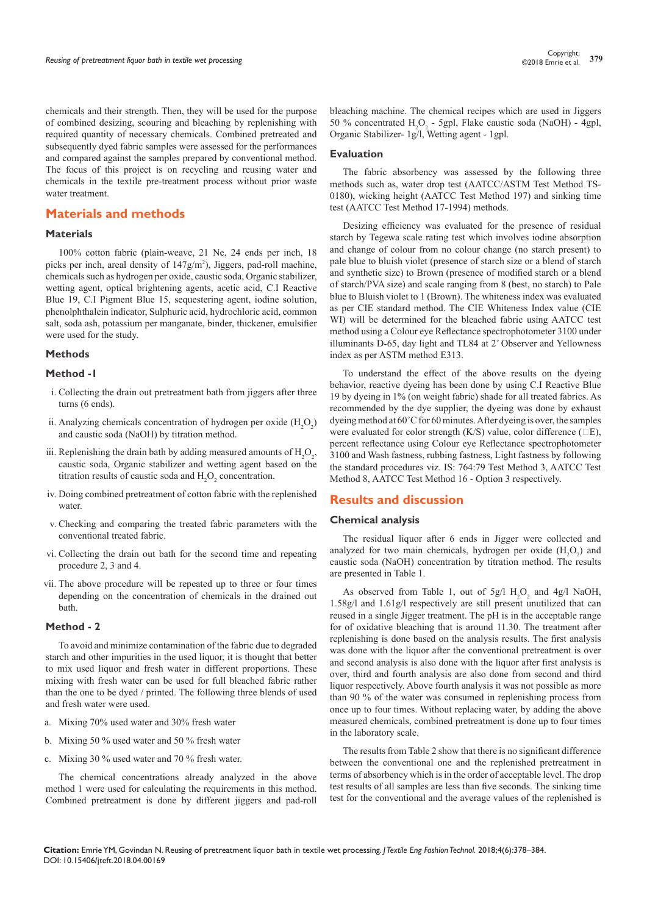chemicals and their strength. Then, they will be used for the purpose of combined desizing, scouring and bleaching by replenishing with required quantity of necessary chemicals. Combined pretreated and subsequently dyed fabric samples were assessed for the performances and compared against the samples prepared by conventional method. The focus of this project is on recycling and reusing water and chemicals in the textile pre-treatment process without prior waste water treatment.

# **Materials and methods**

#### **Materials**

100% cotton fabric (plain-weave, 21 Ne, 24 ends per inch, 18 picks per inch, areal density of 147g/m<sup>2</sup>), Jiggers, pad-roll machine, chemicals such as hydrogen per oxide, caustic soda, Organic stabilizer, wetting agent, optical brightening agents, acetic acid, C.I Reactive Blue 19, C.I Pigment Blue 15, sequestering agent, iodine solution, phenolphthalein indicator, Sulphuric acid, hydrochloric acid, common salt, soda ash, potassium per manganate, binder, thickener, emulsifier were used for the study.

#### **Methods**

### **Method -1**

- i. Collecting the drain out pretreatment bath from jiggers after three turns (6 ends).
- ii. Analyzing chemicals concentration of hydrogen per oxide  $(H_2O_2)$ and caustic soda (NaOH) by titration method.
- iii. Replenishing the drain bath by adding measured amounts of  $H_2O_2$ , caustic soda, Organic stabilizer and wetting agent based on the titration results of caustic soda and  $H_2O_2$  concentration.
- iv. Doing combined pretreatment of cotton fabric with the replenished water.
- v. Checking and comparing the treated fabric parameters with the conventional treated fabric.
- vi. Collecting the drain out bath for the second time and repeating procedure 2, 3 and 4.
- vii. The above procedure will be repeated up to three or four times depending on the concentration of chemicals in the drained out bath.

#### **Method - 2**

To avoid and minimize contamination of the fabric due to degraded starch and other impurities in the used liquor, it is thought that better to mix used liquor and fresh water in different proportions. These mixing with fresh water can be used for full bleached fabric rather than the one to be dyed / printed. The following three blends of used and fresh water were used.

- a. Mixing 70% used water and 30% fresh water
- b. Mixing 50 % used water and 50 % fresh water
- c. Mixing 30 % used water and 70 % fresh water.

The chemical concentrations already analyzed in the above method 1 were used for calculating the requirements in this method. Combined pretreatment is done by different jiggers and pad-roll

bleaching machine. The chemical recipes which are used in Jiggers 50 % concentrated  $H_2O_2$  - 5gpl, Flake caustic soda (NaOH) - 4gpl, Organic Stabilizer- 1g/l, Wetting agent - 1gpl.

#### **Evaluation**

The fabric absorbency was assessed by the following three methods such as, water drop test (AATCC/ASTM Test Method TS-0180), wicking height (AATCC Test Method 197) and sinking time test (AATCC Test Method 17-1994) methods.

Desizing efficiency was evaluated for the presence of residual starch by Tegewa scale rating test which involves iodine absorption and change of colour from no colour change (no starch present) to pale blue to bluish violet (presence of starch size or a blend of starch and synthetic size) to Brown (presence of modified starch or a blend of starch/PVA size) and scale ranging from 8 (best, no starch) to Pale blue to Bluish violet to 1 (Brown). The whiteness index was evaluated as per CIE standard method. The CIE Whiteness Index value (CIE WI) will be determined for the bleached fabric using AATCC test method using a Colour eye Reflectance spectrophotometer 3100 under illuminants D-65, day light and TL84 at 2˚ Observer and Yellowness index as per ASTM method E313.

To understand the effect of the above results on the dyeing behavior, reactive dyeing has been done by using C.I Reactive Blue 19 by dyeing in 1% (on weight fabric) shade for all treated fabrics. As recommended by the dye supplier, the dyeing was done by exhaust dyeing method at 60˚C for 60 minutes. After dyeing is over, the samples were evaluated for color strength (K/S) value, color difference ( $\Box E$ ), percent reflectance using Colour eye Reflectance spectrophotometer 3100 and Wash fastness, rubbing fastness, Light fastness by following the standard procedures viz. IS: 764:79 Test Method 3, AATCC Test Method 8, AATCC Test Method 16 - Option 3 respectively.

#### **Results and discussion**

#### **Chemical analysis**

The residual liquor after 6 ends in Jigger were collected and analyzed for two main chemicals, hydrogen per oxide  $(H_2O_2)$  and caustic soda (NaOH) concentration by titration method. The results are presented in Table 1.

As observed from Table 1, out of  $5g/1 H<sub>2</sub>O<sub>2</sub>$  and 4g/l NaOH, 1.58g/l and 1.61g/l respectively are still present unutilized that can reused in a single Jigger treatment. The pH is in the acceptable range for of oxidative bleaching that is around 11.30. The treatment after replenishing is done based on the analysis results. The first analysis was done with the liquor after the conventional pretreatment is over and second analysis is also done with the liquor after first analysis is over, third and fourth analysis are also done from second and third liquor respectively. Above fourth analysis it was not possible as more than 90 % of the water was consumed in replenishing process from once up to four times. Without replacing water, by adding the above measured chemicals, combined pretreatment is done up to four times in the laboratory scale.

The results from Table 2 show that there is no significant difference between the conventional one and the replenished pretreatment in terms of absorbency which is in the order of acceptable level. The drop test results of all samples are less than five seconds. The sinking time test for the conventional and the average values of the replenished is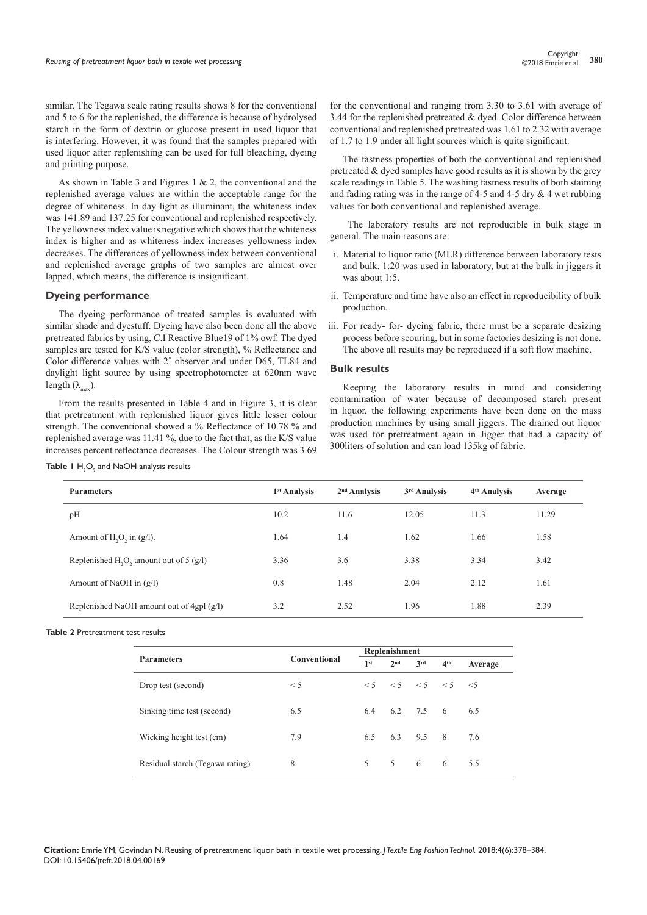similar. The Tegawa scale rating results shows 8 for the conventional and 5 to 6 for the replenished, the difference is because of hydrolysed starch in the form of dextrin or glucose present in used liquor that is interfering. However, it was found that the samples prepared with used liquor after replenishing can be used for full bleaching, dyeing and printing purpose.

As shown in Table 3 and Figures 1 & 2, the conventional and the replenished average values are within the acceptable range for the degree of whiteness. In day light as illuminant, the whiteness index was 141.89 and 137.25 for conventional and replenished respectively. The yellowness index value is negative which shows that the whiteness index is higher and as whiteness index increases yellowness index decreases. The differences of yellowness index between conventional and replenished average graphs of two samples are almost over lapped, which means, the difference is insignificant.

#### **Dyeing performance**

The dyeing performance of treated samples is evaluated with similar shade and dyestuff. Dyeing have also been done all the above pretreated fabrics by using, C.I Reactive Blue19 of 1% owf. The dyed samples are tested for K/S value (color strength), % Reflectance and Color difference values with 2˚ observer and under D65, TL84 and daylight light source by using spectrophotometer at 620nm wave length  $(\lambda_{\text{max}})$ .

From the results presented in Table 4 and in Figure 3, it is clear that pretreatment with replenished liquor gives little lesser colour strength. The conventional showed a % Reflectance of 10.78 % and replenished average was 11.41 %, due to the fact that, as the K/S value increases percent reflectance decreases. The Colour strength was 3.69

|  |  | <b>Table I</b> $H_2O_2$ and NaOH analysis results |  |  |
|--|--|---------------------------------------------------|--|--|
|--|--|---------------------------------------------------|--|--|

for the conventional and ranging from 3.30 to 3.61 with average of 3.44 for the replenished pretreated  $&$  dyed. Color difference between conventional and replenished pretreated was 1.61 to 2.32 with average of 1.7 to 1.9 under all light sources which is quite significant.

The fastness properties of both the conventional and replenished pretreated & dyed samples have good results as it is shown by the grey scale readings in Table 5. The washing fastness results of both staining and fading rating was in the range of 4-5 and 4-5 dry  $& 4$  wet rubbing values for both conventional and replenished average.

 The laboratory results are not reproducible in bulk stage in general. The main reasons are:

- i. Material to liquor ratio (MLR) difference between laboratory tests and bulk. 1:20 was used in laboratory, but at the bulk in jiggers it was about 1:5.
- ii. Temperature and time have also an effect in reproducibility of bulk production.
- iii. For ready- for- dyeing fabric, there must be a separate desizing process before scouring, but in some factories desizing is not done. The above all results may be reproduced if a soft flow machine.

#### **Bulk results**

Keeping the laboratory results in mind and considering contamination of water because of decomposed starch present in liquor, the following experiments have been done on the mass production machines by using small jiggers. The drained out liquor was used for pretreatment again in Jigger that had a capacity of 300liters of solution and can load 135kg of fabric.

| <b>Parameters</b>                                                 | 1 <sup>st</sup> Analysis | $2nd$ Analysis | 3 <sup>rd</sup> Analysis | 4 <sup>th</sup> Analysis | Average |
|-------------------------------------------------------------------|--------------------------|----------------|--------------------------|--------------------------|---------|
| pH                                                                | 10.2                     | 11.6           | 12.05                    | 11.3                     | 11.29   |
| Amount of $H2O2$ in (g/l).                                        | 1.64                     | 1.4            | 1.62                     | 1.66                     | 1.58    |
| Replenished H <sub>2</sub> O <sub>2</sub> amount out of 5 $(g/l)$ | 3.36                     | 3.6            | 3.38                     | 3.34                     | 3.42    |
| Amount of NaOH in $(g/l)$                                         | 0.8                      | 1.48           | 2.04                     | 2.12                     | 1.61    |
| Replenished NaOH amount out of 4gpl $(g/l)$                       | 3.2                      | 2.52           | 1.96                     | 1.88                     | 2.39    |

**Table 2** Pretreatment test results

|                                 |              | Replenishment |                 |                                      |                 |         |  |
|---------------------------------|--------------|---------------|-----------------|--------------------------------------|-----------------|---------|--|
| <b>Parameters</b>               | Conventional |               | $2^{\text{nd}}$ | 3 <sup>rd</sup>                      | 4 <sup>th</sup> | Average |  |
| Drop test (second)              | $\leq$ 5     |               |                 | $\leq 5 \leq 5 \leq 5 \leq 5 \leq 5$ |                 |         |  |
| Sinking time test (second)      | 6.5          |               |                 | 6.4 6.2 7.5 6 6.5                    |                 |         |  |
| Wicking height test (cm)        | 7.9          | 6.5           |                 | 6.3 9.5 8                            |                 | 7.6     |  |
| Residual starch (Tegawa rating) | 8            |               |                 | 5 5 6 6                              |                 | 5.5     |  |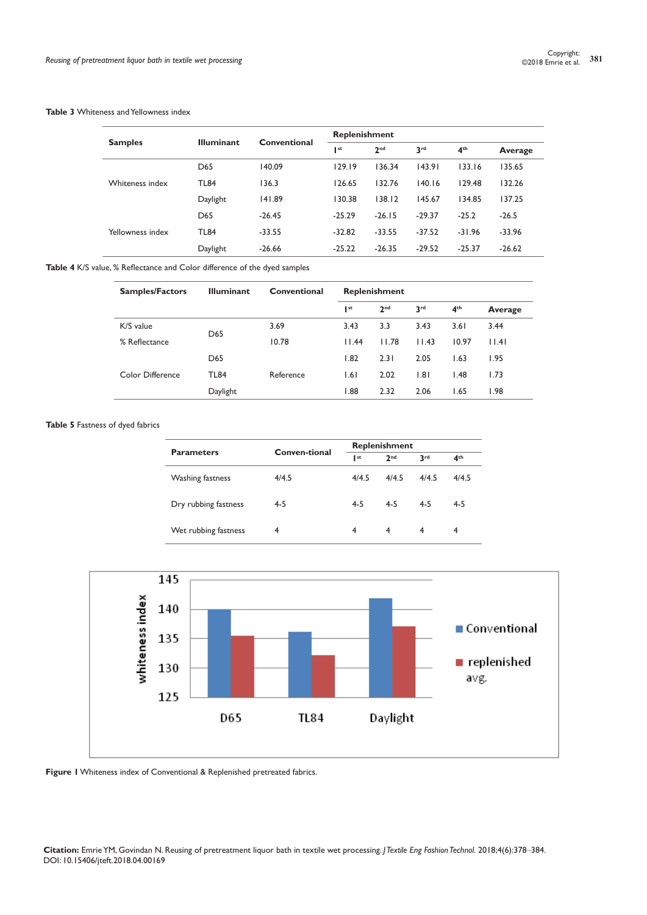#### **Table 3** Whiteness and Yellowness index

|                  |                   |              | <b>Replenishment</b> |                 |                 |                 |          |
|------------------|-------------------|--------------|----------------------|-----------------|-----------------|-----------------|----------|
| <b>Samples</b>   | <b>Illuminant</b> | Conventional | I st                 | 2 <sub>nd</sub> | 3 <sup>rd</sup> | 4 <sup>th</sup> | Average  |
| Whiteness index  | D65               | 140.09       | 129.19               | 136.34          | 143.91          | 133.16          | 135.65   |
|                  | <b>TL84</b>       | 136.3        | 126.65               | 132.76          | 140.16          | 129.48          | 132.26   |
|                  | Daylight          | 141.89       | 130.38               | 138.12          | 145.67          | 134.85          | 137.25   |
| Yellowness index | D65               | $-26.45$     | $-25.29$             | $-26.15$        | $-29.37$        | $-25.2$         | $-26.5$  |
|                  | <b>TL84</b>       | $-33.55$     | $-32.82$             | $-33.55$        | $-37.52$        | $-31.96$        | $-33.96$ |
|                  | Daylight          | $-26.66$     | $-25.22$             | $-26.35$        | $-29.52$        | $-25.37$        | $-26.62$ |

**Table 4** K/S value, % Reflectance and Color difference of the dyed samples

| <b>Samples/Factors</b> | <b>Illuminant</b> | Conventional | <b>Replenishment</b> |                 |                 |                 |         |
|------------------------|-------------------|--------------|----------------------|-----------------|-----------------|-----------------|---------|
|                        |                   |              | st                   | 2 <sub>nd</sub> | 3 <sup>rd</sup> | 4 <sup>th</sup> | Average |
| K/S value              |                   | 3.69         | 3.43                 | 3.3             | 3.43            | 3.61            | 3.44    |
| % Reflectance          | D <sub>65</sub>   | 10.78        | 11.44                | 11.78           | 11.43           | 10.97           | 11.41   |
|                        | D <sub>65</sub>   |              | 1.82                 | 2.31            | 2.05            | 1.63            | 1.95    |
| Color Difference       | <b>TL84</b>       | Reference    | 1.61                 | 2.02            | 1.81            | 1.48            | 1.73    |
|                        | Daylight          |              | 88. ا                | 2.32            | 2.06            | 1.65            | 1.98    |

## **Table 5** Fastness of dyed fabrics

| <b>Parameters</b>    | Conven-tional |         | Replenishment   |         |                 |  |  |
|----------------------|---------------|---------|-----------------|---------|-----------------|--|--|
|                      |               | I st    | 2 <sub>nd</sub> | 3rd     | 4 <sup>th</sup> |  |  |
| Washing fastness     | 4/4.5         | 4/4.5   | 4/4.5           | 4/4.5   | 4/4.5           |  |  |
| Dry rubbing fastness | $4 - 5$       | $4 - 5$ | $4 - 5$         | $4 - 5$ | $4 - 5$         |  |  |
| Wet rubbing fastness | 4             | 4       | 4               | 4       |                 |  |  |





**Citation:** Emrie YM, Govindan N. Reusing of pretreatment liquor bath in textile wet processing. *J Textile Eng Fashion Technol.* 2018;4(6):378‒384. DOI: [10.15406/jteft.2018.04.00169](https://doi.org/10.15406/jteft.2018.04.00169)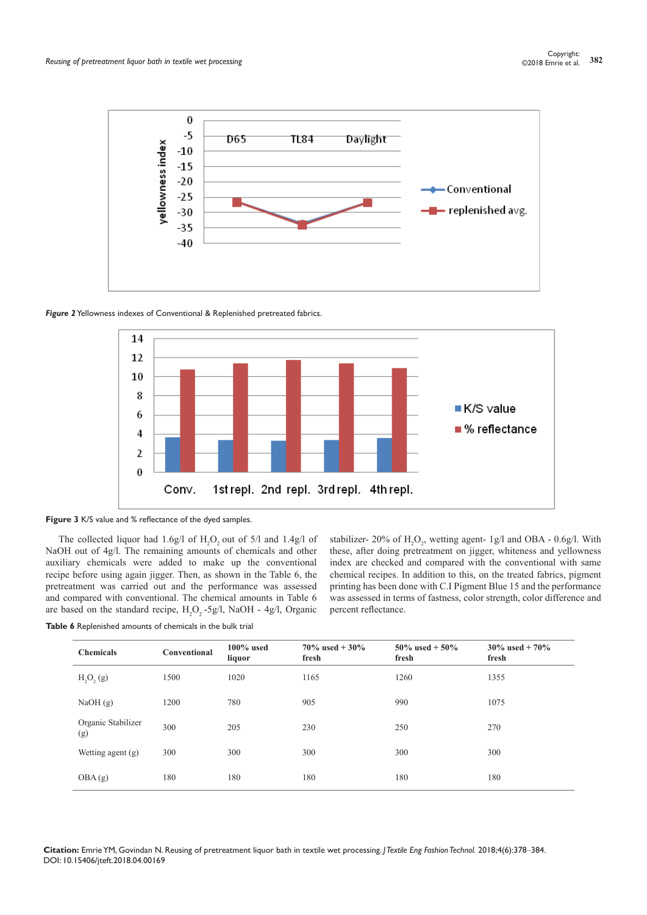

*Figure 2* Yellowness indexes of Conventional & Replenished pretreated fabrics.



**Figure 3** K/S value and % reflectance of the dyed samples.

The collected liquor had 1.6g/l of  $H_2O_2$  out of 5/l and 1.4g/l of NaOH out of 4g/l. The remaining amounts of chemicals and other auxiliary chemicals were added to make up the conventional recipe before using again jigger. Then, as shown in the Table 6, the pretreatment was carried out and the performance was assessed and compared with conventional. The chemical amounts in Table 6 are based on the standard recipe,  $H_2O_2$ -5g/l, NaOH - 4g/l, Organic



stabilizer- 20% of  $H_2O_2$ , wetting agent- 1g/l and OBA - 0.6g/l. With these, after doing pretreatment on jigger, whiteness and yellowness index are checked and compared with the conventional with same chemical recipes. In addition to this, on the treated fabrics, pigment printing has been done with C.I Pigment Blue 15 and the performance was assessed in terms of fastness, color strength, color difference and percent reflectance.

| <b>Chemicals</b>          | Conventional | $100\%$ used<br>liquor | $70\%$ used $+30\%$<br>fresh | 50\% used + 50\%<br>fresh | $30\%$ used $+70\%$<br>fresh |
|---------------------------|--------------|------------------------|------------------------------|---------------------------|------------------------------|
| $H_2O_2(g)$               | 1500         | 1020                   | 1165                         | 1260                      | 1355                         |
| NaOH(g)                   | 1200         | 780                    | 905                          | 990                       | 1075                         |
| Organic Stabilizer<br>(g) | 300          | 205                    | 230                          | 250                       | 270                          |
| Wetting agent (g)         | 300          | 300                    | 300                          | 300                       | 300                          |
| OBA(g)                    | 180          | 180                    | 180                          | 180                       | 180                          |

**Table 6** Replenished amounts of chemicals in the bulk trial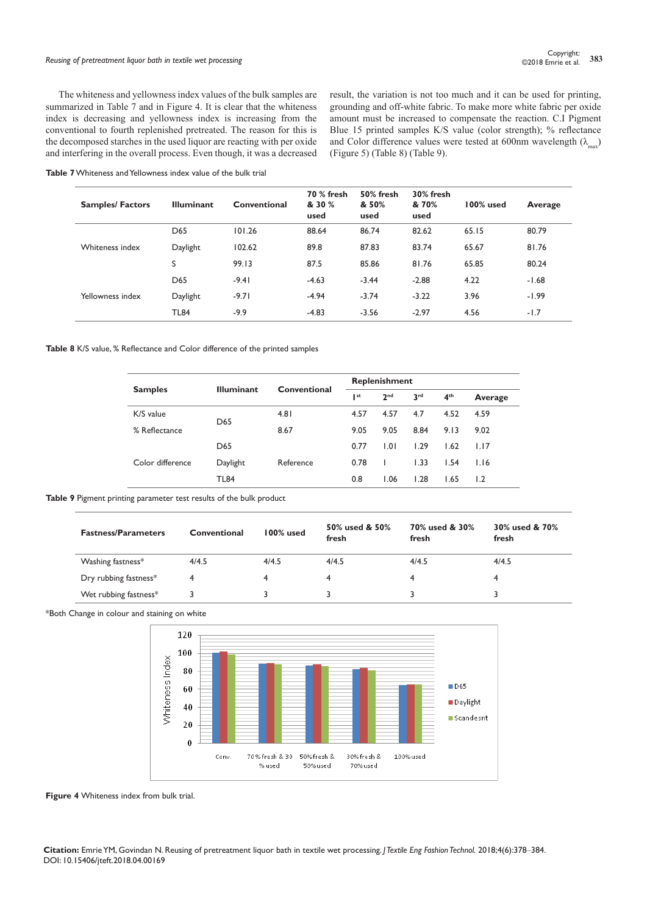# *Reusing of pretreatment liquor bath in textile wet processing* **<sup>383</sup>** Copyright:

The whiteness and yellowness index values of the bulk samples are summarized in Table 7 and in Figure 4. It is clear that the whiteness index is decreasing and yellowness index is increasing from the conventional to fourth replenished pretreated. The reason for this is the decomposed starches in the used liquor are reacting with per oxide and interfering in the overall process. Even though, it was a decreased result, the variation is not too much and it can be used for printing, grounding and off-white fabric. To make more white fabric per oxide amount must be increased to compensate the reaction. C.I Pigment Blue 15 printed samples K/S value (color strength); % reflectance and Color difference values were tested at 600nm wavelength  $(\lambda_{\text{max}})$ (Figure 5) (Table 8) (Table 9).

| <b>Table 7</b> Whiteness and Yellowness index value of the bulk trial |
|-----------------------------------------------------------------------|
|-----------------------------------------------------------------------|

| <b>Samples/Factors</b> | <b>Illuminant</b> | Conventional | <b>70 % fresh</b><br>& 30 %<br>used | 50% fresh<br>& 50%<br>used | 30% fresh<br>& 70%<br>used | 100% used | Average |
|------------------------|-------------------|--------------|-------------------------------------|----------------------------|----------------------------|-----------|---------|
|                        | D <sub>65</sub>   | 101.26       | 88.64                               | 86.74                      | 82.62                      | 65.15     | 80.79   |
| Whiteness index        | Daylight          | 102.62       | 89.8                                | 87.83                      | 83.74                      | 65.67     | 81.76   |
|                        | S                 | 99.13        | 87.5                                | 85.86                      | 81.76                      | 65.85     | 80.24   |
| Yellowness index       | D <sub>65</sub>   | $-9.41$      | $-4.63$                             | $-3.44$                    | $-2.88$                    | 4.22      | $-1.68$ |
|                        | Daylight          | $-9.71$      | $-4.94$                             | $-3.74$                    | $-3.22$                    | 3.96      | $-1.99$ |
|                        | <b>TL84</b>       | $-9.9$       | $-4.83$                             | $-3.56$                    | $-2.97$                    | 4.56      | $-1.7$  |

**Table 8** K/S value, % Reflectance and Color difference of the printed samples

|                  | <b>Illuminant</b> |              | <b>Replenishment</b> |                 |                 |                 |         |
|------------------|-------------------|--------------|----------------------|-----------------|-----------------|-----------------|---------|
| <b>Samples</b>   |                   | Conventional | I st                 | 2 <sub>nd</sub> | 3 <sup>rd</sup> | 4 <sup>th</sup> | Average |
| K/S value        | D <sub>65</sub>   | 4.81         | 4.57                 | 4.57            | 4.7             | 4.52            | 4.59    |
| % Reflectance    |                   | 8.67         | 9.05                 | 9.05            | 8.84            | 9.13            | 9.02    |
|                  | D <sub>65</sub>   |              | 0.77                 | 1.01            | 1.29            | 1.62            | 1.17    |
| Color difference | Daylight          | Reference    | 0.78                 |                 | 1.33            | 1.54            | 1.16    |
|                  | <b>TL84</b>       |              | 0.8                  | 1.06            | 1.28            | 1.65            | 1.2     |

**Table 9** Pigment printing parameter test results of the bulk product

| <b>Fastness/Parameters</b> | Conventional | 100% used | 50% used & 50%<br>fresh | 70% used & 30%<br>fresh | 30% used & 70%<br>fresh |
|----------------------------|--------------|-----------|-------------------------|-------------------------|-------------------------|
| Washing fastness*          | 4/4.5        | 4/4.5     | 4/4.5                   | 4/4.5                   | 4/4.5                   |
| Dry rubbing fastness*      | 4            |           | 4                       | 4                       |                         |
| Wet rubbing fastness*      |              |           |                         |                         |                         |

\*Both Change in colour and staining on white



**Figure 4** Whiteness index from bulk trial.

**Citation:** Emrie YM, Govindan N. Reusing of pretreatment liquor bath in textile wet processing. *J Textile Eng Fashion Technol.* 2018;4(6):378‒384. DOI: [10.15406/jteft.2018.04.00169](https://doi.org/10.15406/jteft.2018.04.00169)